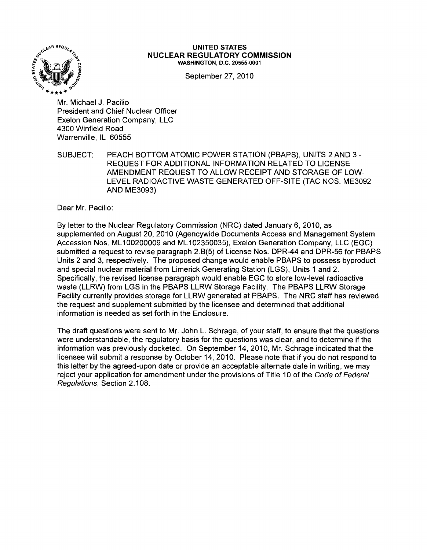

#### UNITED STATES NUCLEAR REGULATORY COMMISSION WASHINGTON, D.C. 20555-0001

September 27, 2010

Mr. Michael J. Pacilio President and Chief Nuclear Officer Exelon Generation Company, LLC 4300 Winfield Road Warrenville, IL 60555

SUBJECT: PEACH BOTTOM ATOMIC POWER STATION (PBAPS), UNITS 2 AND 3 -REQUEST FOR ADDITIONAL INFORMATION RELATED TO LICENSE AMENDMENT REQUEST TO ALLOW RECEIPT AND STORAGE OF LOW-LEVEL RADIOACTIVE WASTE GENERATED OFF-SITE (TAC NOS. ME3092 AND ME3093)

Dear Mr. Pacilio:

By letter to the Nuclear Regulatory Commission (NRC) dated January 6, 2010, as supplemented on August 20, 2010 (Agencywide Documents Access and Management System Accession Nos. ML100200009 and ML102350035), Exelon Generation Company, LLC (EGC) submitted a request to revise paragraph 2.B(5) of License Nos. DPR-44 and DPR-56 for PBAPS Units 2 and 3, respectively. The proposed change would enable PBAPS to possess byproduct and special nuclear material from Limerick Generating Station (LGS), Units 1 and 2. Specifically, the revised license paragraph would enable EGC to store low-level radioactive waste (LLRW) from LGS in the PBAPS LLRW Storaqe Facility. The PBAPS LLRW Storage Facility currently provides storage for LLRW generated at PBAPS. The NRC staff has reviewed the request and supplement submitted by the licensee and determined that additional information is needed as set forth in the Enclosure.

The draft questions were sent to Mr. John L. Schrage, of your staff, to ensure that the questions were understandable, the regulatory basis for the questions was clear, and to determine if the information was previously docketed. On September 14, 2010, Mr. Schrage indicated that the licensee will submit a response by October 14,2010. Please note that if you do not respond to this letter by the agreed-upon date or provide an acceptable alternate date in writing, we may reject your application for amendment under the provisions of Title 10 of the Code of Federal Regulations, Section 2.108.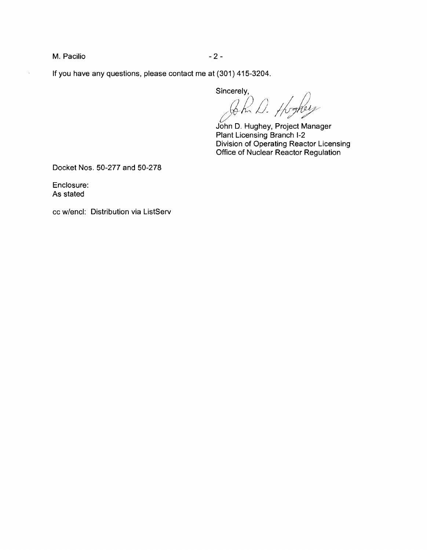M. Pacilio  $-2$  -

 $\ddot{\phantom{a}}$ 

**If** you have any questions, please contact me at (301) 415-3204.

Sincerely,

 $\kappa$  D. Hogher

John D. Hughey, Project Manager Plant Licensing Branch 1-2 Division of Operating Reactor Licensing Office of Nuclear Reactor Regulation

Docket Nos. 50-277 and 50-278

Enclosure: As stated

cc w/encl: Distribution via ListServ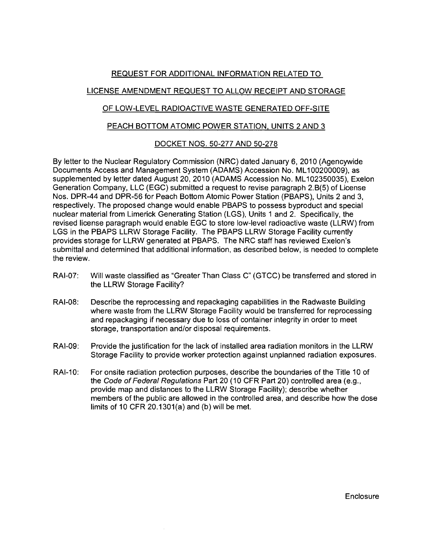## REQUEST FOR ADDITIONAL INFORMATION RELATED TO

# LICENSE AMENDMENT REQUEST TO ALLOW RECEIPT AND STORAGE

## OF LOW-LEVEL RADIOACTIVE WASTE GENERATED OFF-SITE

#### PEACH BOTTOM ATOMIC POWER STATION, UNITS 2 AND 3

## DOCKET NOS. 50-277 AND 50-278

By letter to the Nuclear Regulatory Commission (NRC) dated January 6, 2010 (Agencywide Documents Access and Management System (ADAMS) Accession No. ML100200009), as supplemented by letter dated August 20,2010 (ADAMS Accession No. ML102350035), Exelon Generation Company, LLC (EGC) submitted a request to revise paragraph 2.B(5) of License Nos. DPR-44 and DPR-56 for Peach Bottom Atomic Power Station (PBAPS), Units 2 and 3, respectively. The proposed change would enable PBAPS to possess byproduct and special nuclear material from Limerick Generating Station (LGS), Units 1 and 2. Specifically, the revised license paragraph would enable EGC to store low-level radioactive waste (LLRW) from LGS in the PBAPS LLRW Storage Facility. The PBAPS LLRW Storage Facility currently provides storage for LLRW generated at PBAPS. The NRC staff has reviewed Exelon's submittal and determined that additional information, as described below, is needed to complete the review.

- RAI-07: Will waste classified as "Greater Than Class C" (GTCC) be transferred and stored in the LLRW Storage Facility?
- RAI-08: Describe the reprocessing and repackaging capabilities in the Radwaste Building where waste from the LLRW Storage Facility would be transferred for reprocessing and repackaging if necessary due to loss of container integrity in order to meet storage, transportation and/or disposal requirements.
- RAI-09: Provide the justification for the lack of installed area radiation monitors in the LLRW Storage Facility to provide worker protection against unplanned radiation exposures.
- RAI-10: For onsite radiation protection purposes, describe the boundaries of the Title 10 of the Code of Federal Regulations Part 20 (10 CFR Part 20) controlled area (e.g., provide map and distances to the LLRW Storage Facility); describe whether members of the public are allowed in the controlled area, and describe how the dose limits of 10 CFR 20.1301(a) and (b) will be met.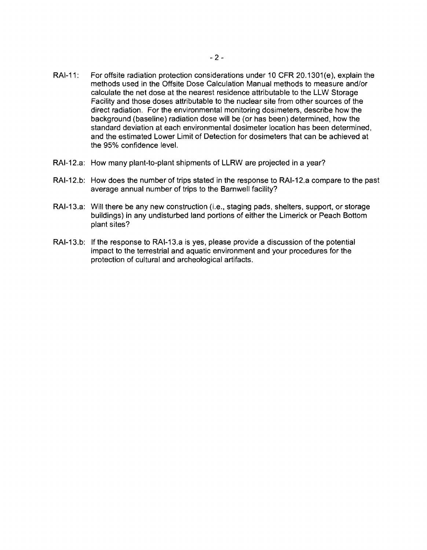- RAI-11: For offsite radiation protection considerations under 10 CFR 20.1301(e), explain the methods used in the Offsite Dose Calculation Manual methods to measure and/or calculate the net dose at the nearest residence attributable to the LLW Storage Facility and those doses attributable to the nuclear site from other sources of the direct radiation. For the environmental monitoring dosimeters, describe how the background (baseline) radiation dose will be (or has been) determined, how the standard deviation at each environmental dosimeter location has been determined, and the estimated Lower Limit of Detection for dosimeters that can be achieved at the 95% confidence level.
- RAI-12.a: How many plant-to-plant shipments of LLRW are projected in a year?
- RAI-12.b: How does the number of trips stated in the response to RAI-12.a compare to the past average annual number of trips to the Barnwell facility?
- RAI-13.a: Will there be any new construction (i.e., staging pads, shelters, support, or storage buildings) in any undisturbed land portions of either the Limerick or Peach Bottom plant sites?
- RAI-13.b: If the response to RAI-13.a is yes, please provide a discussion of the potential impact to the terrestrial and aquatic environment and your procedures for the protection of cultural and archeological artifacts.